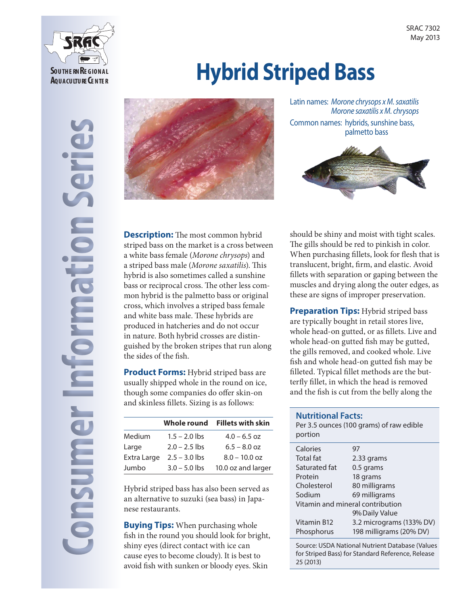

# **Hybrid Striped Bass**



Latin names: *Morone chrysops x M. saxatilis Morone saxatilis x M. chrysops*  Common names: hybrids, sunshine bass, palmetto bass



**Description:** The most common hybrid striped bass on the market is a cross between a white bass female (*Morone chrysops*) and a striped bass male (*Morone saxatilis*). This hybrid is also sometimes called a sunshine bass or reciprocal cross. The other less common hybrid is the palmetto bass or original cross, which involves a striped bass female and white bass male. These hybrids are produced in hatcheries and do not occur in nature. Both hybrid crosses are distinguished by the broken stripes that run along the sides of the fish.

**Product Forms:** Hybrid striped bass are usually shipped whole in the round on ice, though some companies do offer skin-on and skinless fillets. Sizing is as follows:

|             | Whole round     | <b>Fillets with skin</b> |
|-------------|-----------------|--------------------------|
| Medium      | $1.5 - 2.0$ lbs | $4.0 - 6.5$ oz           |
| Large       | $2.0 - 2.5$ lbs | $6.5 - 8.0$ oz           |
| Extra Large | $2.5 - 3.0$ lbs | $8.0 - 10.0$ oz          |
| Jumbo       | $3.0 - 5.0$ lbs | 10.0 oz and larger       |

Hybrid striped bass has also been served as an alternative to suzuki (sea bass) in Japanese restaurants.

**Buying Tips:** When purchasing whole fish in the round you should look for bright, shiny eyes (direct contact with ice can cause eyes to become cloudy). It is best to avoid fish with sunken or bloody eyes. Skin

should be shiny and moist with tight scales. The gills should be red to pinkish in color. When purchasing fillets, look for flesh that is translucent, bright, firm, and elastic. Avoid fillets with separation or gaping between the muscles and drying along the outer edges, as these are signs of improper preservation.

**Preparation Tips: Hybrid striped bass** are typically bought in retail stores live, whole head-on gutted, or as fillets. Live and whole head-on gutted fish may be gutted, the gills removed, and cooked whole. Live fish and whole head-on gutted fish may be filleted. Typical fillet methods are the butterfly fillet, in which the head is removed and the fish is cut from the belly along the

#### **Nutritional Facts:**

| portion                          | Per 3.5 ounces (100 grams) of raw edible |  |
|----------------------------------|------------------------------------------|--|
| Calories                         | 97                                       |  |
| <b>Total fat</b>                 | 2.33 grams                               |  |
| Saturated fat                    | 0.5 grams                                |  |
| Protein                          | 18 grams                                 |  |
| Cholesterol                      | 80 milligrams                            |  |
| Sodium                           | 69 milligrams                            |  |
| Vitamin and mineral contribution |                                          |  |
|                                  | 9% Daily Value                           |  |
| Vitamin B12                      | 3.2 micrograms (133% DV)                 |  |
| Phosphorus                       | 198 milligrams (20% DV)                  |  |
|                                  |                                          |  |

Source: USDA National Nutrient Database (Values for Striped Bass) for Standard Reference, Release 25 (2013)

**Consumer Information Series** berie **Mormandir** onsumer